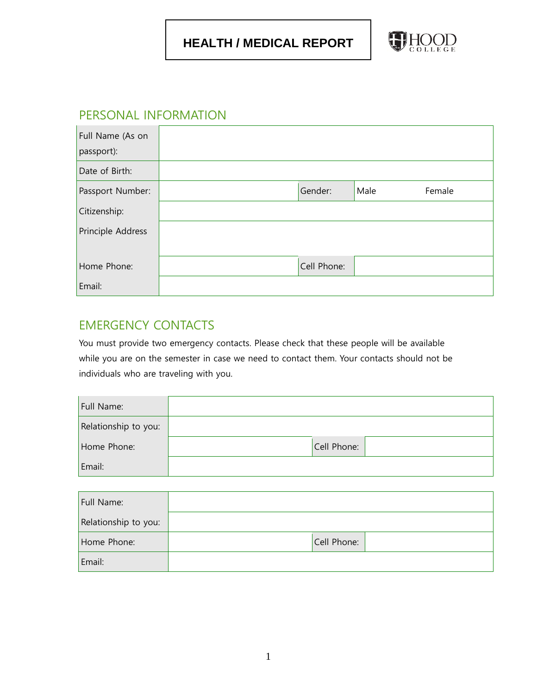

### PERSONAL INFORMATION

| Full Name (As on<br>passport): |             |      |        |
|--------------------------------|-------------|------|--------|
| Date of Birth:                 |             |      |        |
| Passport Number:               | Gender:     | Male | Female |
| Citizenship:                   |             |      |        |
| Principle Address              |             |      |        |
| Home Phone:                    | Cell Phone: |      |        |
| Email:                         |             |      |        |

# EMERGENCY CONTACTS

You must provide two emergency contacts. Please check that these people will be available while you are on the semester in case we need to contact them. Your contacts should not be individuals who are traveling with you.

| Full Name:           |             |
|----------------------|-------------|
| Relationship to you: |             |
| Home Phone:          | Cell Phone: |
| Email:               |             |

| Full Name:           |             |  |
|----------------------|-------------|--|
| Relationship to you: |             |  |
| Home Phone:          | Cell Phone: |  |
| Email:               |             |  |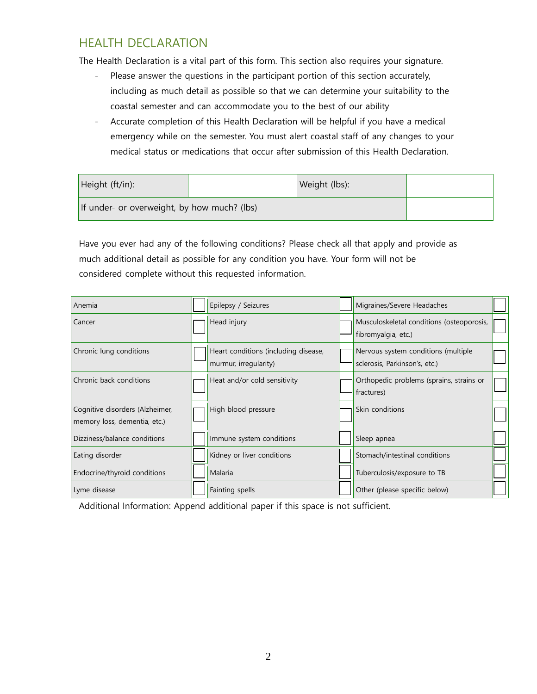# HEALTH DECLARATION

The Health Declaration is a vital part of this form. This section also requires your signature.

- Please answer the questions in the participant portion of this section accurately, including as much detail as possible so that we can determine your suitability to the coastal semester and can accommodate you to the best of our ability
- Accurate completion of this Health Declaration will be helpful if you have a medical emergency while on the semester. You must alert coastal staff of any changes to your medical status or medications that occur after submission of this Health Declaration.

| Height (ft/in):                             | Weight (lbs): |  |
|---------------------------------------------|---------------|--|
| If under- or overweight, by how much? (lbs) |               |  |

Have you ever had any of the following conditions? Please check all that apply and provide as much additional detail as possible for any condition you have. Your form will not be considered complete without this requested information.

| Anemia                                                          | Epilepsy / Seizures                                           | Migraines/Severe Headaches                                           |  |
|-----------------------------------------------------------------|---------------------------------------------------------------|----------------------------------------------------------------------|--|
| Cancer                                                          | Head injury                                                   | Musculoskeletal conditions (osteoporosis,<br>fibromyalgia, etc.)     |  |
| Chronic lung conditions                                         | Heart conditions (including disease,<br>murmur, irregularity) | Nervous system conditions (multiple<br>sclerosis, Parkinson's, etc.) |  |
| Chronic back conditions                                         | Heat and/or cold sensitivity                                  | Orthopedic problems (sprains, strains or<br>fractures)               |  |
| Cognitive disorders (Alzheimer,<br>memory loss, dementia, etc.) | High blood pressure                                           | Skin conditions                                                      |  |
| Dizziness/balance conditions                                    | Immune system conditions                                      | Sleep apnea                                                          |  |
| Eating disorder                                                 | Kidney or liver conditions                                    | Stomach/intestinal conditions                                        |  |
| Endocrine/thyroid conditions                                    | Malaria                                                       | Tuberculosis/exposure to TB                                          |  |
| Lyme disease                                                    | Fainting spells                                               | Other (please specific below)                                        |  |

Additional Information: Append additional paper if this space is not sufficient.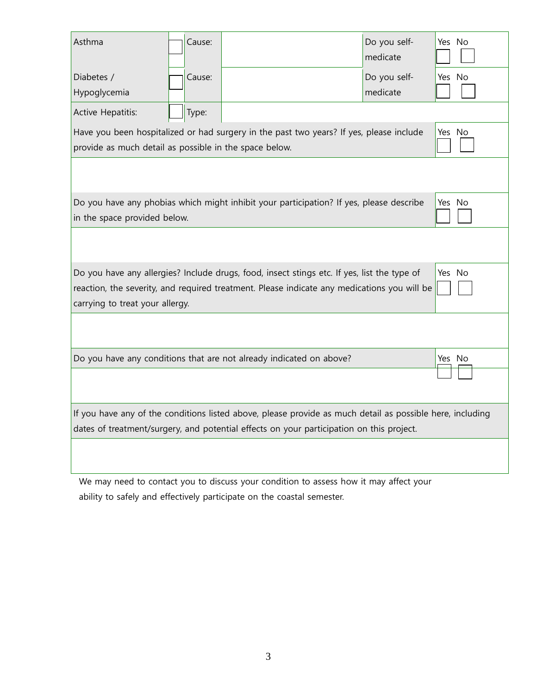| Asthma                                                                                                                                                                                                                                  |  | Cause: |                                                                                         | Do you self-<br>medicate | Yes No |
|-----------------------------------------------------------------------------------------------------------------------------------------------------------------------------------------------------------------------------------------|--|--------|-----------------------------------------------------------------------------------------|--------------------------|--------|
| Diabetes /<br>Hypoglycemia                                                                                                                                                                                                              |  | Cause: |                                                                                         | Do you self-<br>medicate | Yes No |
| Active Hepatitis:                                                                                                                                                                                                                       |  | Type:  |                                                                                         |                          |        |
| provide as much detail as possible in the space below.                                                                                                                                                                                  |  |        | Have you been hospitalized or had surgery in the past two years? If yes, please include |                          | Yes No |
|                                                                                                                                                                                                                                         |  |        |                                                                                         |                          |        |
| in the space provided below.                                                                                                                                                                                                            |  |        | Do you have any phobias which might inhibit your participation? If yes, please describe |                          | Yes No |
|                                                                                                                                                                                                                                         |  |        |                                                                                         |                          |        |
| Do you have any allergies? Include drugs, food, insect stings etc. If yes, list the type of<br>Yes No<br>reaction, the severity, and required treatment. Please indicate any medications you will be<br>carrying to treat your allergy. |  |        |                                                                                         |                          |        |
|                                                                                                                                                                                                                                         |  |        |                                                                                         |                          |        |
|                                                                                                                                                                                                                                         |  |        | Do you have any conditions that are not already indicated on above?                     |                          | Yes No |
|                                                                                                                                                                                                                                         |  |        |                                                                                         |                          |        |
| If you have any of the conditions listed above, please provide as much detail as possible here, including<br>dates of treatment/surgery, and potential effects on your participation on this project.                                   |  |        |                                                                                         |                          |        |
|                                                                                                                                                                                                                                         |  |        |                                                                                         |                          |        |

We may need to contact you to discuss your condition to assess how it may affect your ability to safely and effectively participate on the coastal semester.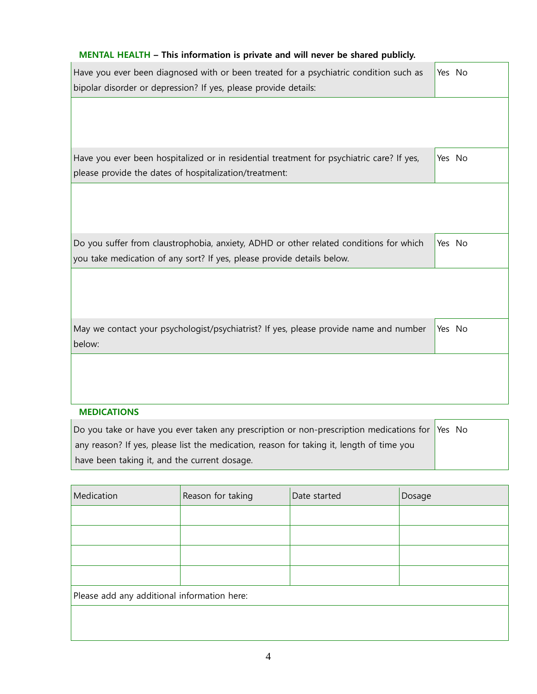#### **MENTAL HEALTH – This information is private and will never be shared publicly.**

| Have you ever been diagnosed with or been treated for a psychiatric condition such as<br>bipolar disorder or depression? If yes, please provide details:         | Yes No |
|------------------------------------------------------------------------------------------------------------------------------------------------------------------|--------|
|                                                                                                                                                                  |        |
| Have you ever been hospitalized or in residential treatment for psychiatric care? If yes,<br>please provide the dates of hospitalization/treatment:              | Yes No |
|                                                                                                                                                                  |        |
| Do you suffer from claustrophobia, anxiety, ADHD or other related conditions for which<br>you take medication of any sort? If yes, please provide details below. | Yes No |
|                                                                                                                                                                  |        |
| May we contact your psychologist/psychiatrist? If yes, please provide name and number<br>below:                                                                  | Yes No |
|                                                                                                                                                                  |        |

#### **MEDICATIONS**

| Do you take or have you ever taken any prescription or non-prescription medications for Yes No |  |
|------------------------------------------------------------------------------------------------|--|
| any reason? If yes, please list the medication, reason for taking it, length of time you       |  |
| have been taking it, and the current dosage.                                                   |  |

| Medication                                  | Reason for taking | Date started | Dosage |  |
|---------------------------------------------|-------------------|--------------|--------|--|
|                                             |                   |              |        |  |
|                                             |                   |              |        |  |
|                                             |                   |              |        |  |
|                                             |                   |              |        |  |
| Please add any additional information here: |                   |              |        |  |
|                                             |                   |              |        |  |
|                                             |                   |              |        |  |